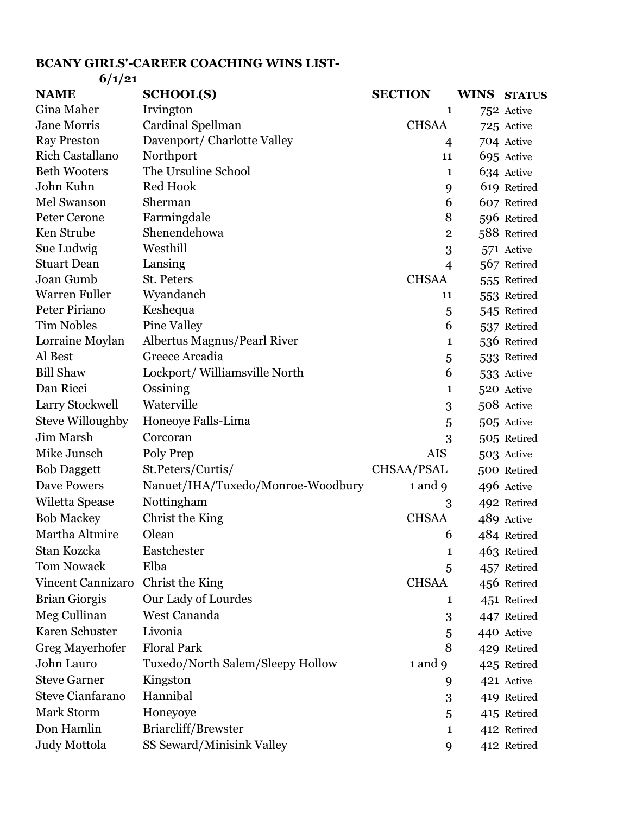## **BCANY GIRLS'-CAREER COACHING WINS LIST-6/1/21**

| V/I/ZI                   |                                   |                |             |               |
|--------------------------|-----------------------------------|----------------|-------------|---------------|
| <b>NAME</b>              | <b>SCHOOL(S)</b>                  | <b>SECTION</b> | <b>WINS</b> | <b>STATUS</b> |
| <b>Gina Maher</b>        | Irvington                         | 1              |             | 752 Active    |
| <b>Jane Morris</b>       | Cardinal Spellman                 | <b>CHSAA</b>   |             | 725 Active    |
| <b>Ray Preston</b>       | Davenport/ Charlotte Valley       | $\overline{4}$ |             | 704 Active    |
| <b>Rich Castallano</b>   | Northport                         | 11             |             | 695 Active    |
| <b>Beth Wooters</b>      | The Ursuline School               | 1              |             | 634 Active    |
| John Kuhn                | Red Hook                          | 9              |             | 619 Retired   |
| Mel Swanson              | Sherman                           | 6              |             | 607 Retired   |
| Peter Cerone             | Farmingdale                       | 8              |             | 596 Retired   |
| Ken Strube               | Shenendehowa                      | $\overline{2}$ |             | 588 Retired   |
| Sue Ludwig               | Westhill                          | 3              |             | 571 Active    |
| <b>Stuart Dean</b>       | Lansing                           | $\overline{4}$ |             | 567 Retired   |
| Joan Gumb                | St. Peters                        | <b>CHSAA</b>   |             | 555 Retired   |
| <b>Warren Fuller</b>     | Wyandanch                         | 11             |             | 553 Retired   |
| Peter Piriano            | Keshequa                          | 5              |             | 545 Retired   |
| <b>Tim Nobles</b>        | <b>Pine Valley</b>                | 6              |             | 537 Retired   |
| Lorraine Moylan          | Albertus Magnus/Pearl River       | 1              |             | 536 Retired   |
| Al Best                  | Greece Arcadia                    | 5              |             | 533 Retired   |
| <b>Bill Shaw</b>         | Lockport/ Williamsville North     | 6              |             | 533 Active    |
| Dan Ricci                | Ossining                          | 1              |             | 520 Active    |
| Larry Stockwell          | Waterville                        | 3              |             | 508 Active    |
| <b>Steve Willoughby</b>  | Honeoye Falls-Lima                | 5              |             | 505 Active    |
| Jim Marsh                | Corcoran                          | 3              |             | 505 Retired   |
| Mike Junsch              | Poly Prep                         | <b>AIS</b>     |             | 503 Active    |
| <b>Bob Daggett</b>       | St.Peters/Curtis/                 | CHSAA/PSAL     |             | 500 Retired   |
| <b>Dave Powers</b>       | Nanuet/IHA/Tuxedo/Monroe-Woodbury | 1 and 9        |             | 496 Active    |
| Wiletta Spease           | Nottingham                        | 3              |             | 492 Retired   |
| <b>Bob Mackey</b>        | Christ the King                   | <b>CHSAA</b>   |             | 489 Active    |
| Martha Altmire           | Olean                             | 6              |             | 484 Retired   |
| Stan Kozcka              | Eastchester                       | 1              |             | 463 Retired   |
| <b>Tom Nowack</b>        | Elba                              | 5              |             | 457 Retired   |
| <b>Vincent Cannizaro</b> | Christ the King                   | <b>CHSAA</b>   |             | 456 Retired   |
| <b>Brian Giorgis</b>     | Our Lady of Lourdes               | 1              |             | 451 Retired   |
| Meg Cullinan             | West Cananda                      | 3              |             | 447 Retired   |
| Karen Schuster           | Livonia                           | 5              |             | 440 Active    |
| Greg Mayerhofer          | <b>Floral Park</b>                | 8              |             | 429 Retired   |
| John Lauro               | Tuxedo/North Salem/Sleepy Hollow  | 1 and 9        |             | 425 Retired   |
| <b>Steve Garner</b>      | Kingston                          | 9              |             | 421 Active    |
| <b>Steve Cianfarano</b>  | Hannibal                          | 3              |             | 419 Retired   |
| Mark Storm               | Honeyoye                          | 5              |             | 415 Retired   |
| Don Hamlin               | Briarcliff/Brewster               | 1              |             |               |
|                          |                                   |                |             | 412 Retired   |
| Judy Mottola             | SS Seward/Minisink Valley         | 9              |             | 412 Retired   |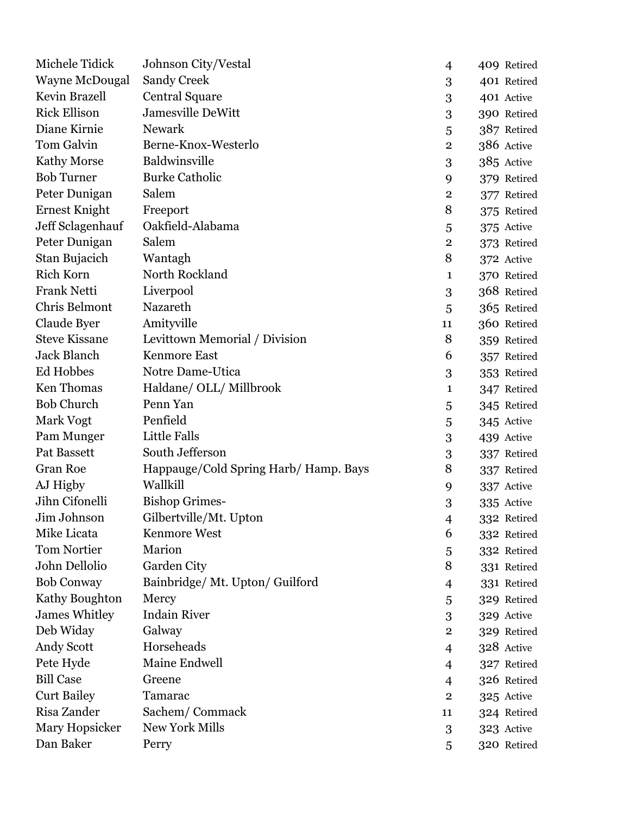| Michele Tidick        | Johnson City/Vestal                   | 4              | 409 Retired |
|-----------------------|---------------------------------------|----------------|-------------|
| <b>Wayne McDougal</b> | <b>Sandy Creek</b>                    | 3              | 401 Retired |
| Kevin Brazell         | <b>Central Square</b>                 | 3              | 401 Active  |
| <b>Rick Ellison</b>   | Jamesville DeWitt                     | 3              | 390 Retired |
| Diane Kirnie          | <b>Newark</b>                         | 5              | 387 Retired |
| Tom Galvin            | Berne-Knox-Westerlo                   | $\overline{2}$ | 386 Active  |
| <b>Kathy Morse</b>    | Baldwinsville                         | 3              | 385 Active  |
| <b>Bob Turner</b>     | <b>Burke Catholic</b>                 | 9              | 379 Retired |
| Peter Dunigan         | Salem                                 | $\overline{2}$ | 377 Retired |
| <b>Ernest Knight</b>  | Freeport                              | 8              | 375 Retired |
| Jeff Sclagenhauf      | Oakfield-Alabama                      | 5              | 375 Active  |
| Peter Dunigan         | Salem                                 | $\overline{2}$ | 373 Retired |
| Stan Bujacich         | Wantagh                               | 8              | 372 Active  |
| <b>Rich Korn</b>      | North Rockland                        | 1              | 370 Retired |
| Frank Netti           | Liverpool                             | 3              | 368 Retired |
| Chris Belmont         | Nazareth                              | 5              | 365 Retired |
| Claude Byer           | Amityville                            | 11             | 360 Retired |
| <b>Steve Kissane</b>  | Levittown Memorial / Division         | 8              | 359 Retired |
| <b>Jack Blanch</b>    | <b>Kenmore East</b>                   | 6              | 357 Retired |
| Ed Hobbes             | Notre Dame-Utica                      | 3              | 353 Retired |
| <b>Ken Thomas</b>     | Haldane/ OLL/ Millbrook               | 1              | 347 Retired |
| <b>Bob Church</b>     | Penn Yan                              | 5              | 345 Retired |
| Mark Vogt             | Penfield                              | 5              | 345 Active  |
| Pam Munger            | Little Falls                          | 3              | 439 Active  |
| Pat Bassett           | South Jefferson                       | 3              | 337 Retired |
| <b>Gran Roe</b>       | Happauge/Cold Spring Harb/ Hamp. Bays | 8              | 337 Retired |
| AJ Higby              | Wallkill                              | 9              | 337 Active  |
| Jihn Cifonelli        | <b>Bishop Grimes-</b>                 | 3              | 335 Active  |
| Jim Johnson           | Gilbertville/Mt. Upton                | 4              | 332 Retired |
| Mike Licata           | <b>Kenmore West</b>                   | 6              | 332 Retired |
| <b>Tom Nortier</b>    | Marion                                | 5              | 332 Retired |
| John Dellolio         | Garden City                           | 8              | 331 Retired |
| <b>Bob Conway</b>     | Bainbridge/ Mt. Upton/ Guilford       | 4              | 331 Retired |
| Kathy Boughton        | Mercy                                 | 5              | 329 Retired |
| <b>James Whitley</b>  | <b>Indain River</b>                   | 3              | 329 Active  |
| Deb Widay             | Galway                                | $\overline{2}$ | 329 Retired |
| Andy Scott            | Horseheads                            | 4              | 328 Active  |
| Pete Hyde             | Maine Endwell                         | $\overline{4}$ | 327 Retired |
| <b>Bill Case</b>      | Greene                                | $\overline{4}$ | 326 Retired |
| <b>Curt Bailey</b>    | Tamarac                               | $\mathbf{2}$   | 325 Active  |
| Risa Zander           | Sachem/Commack                        | 11             | 324 Retired |
| Mary Hopsicker        | New York Mills                        | 3              | 323 Active  |
| Dan Baker             | Perry                                 | 5              | 320 Retired |